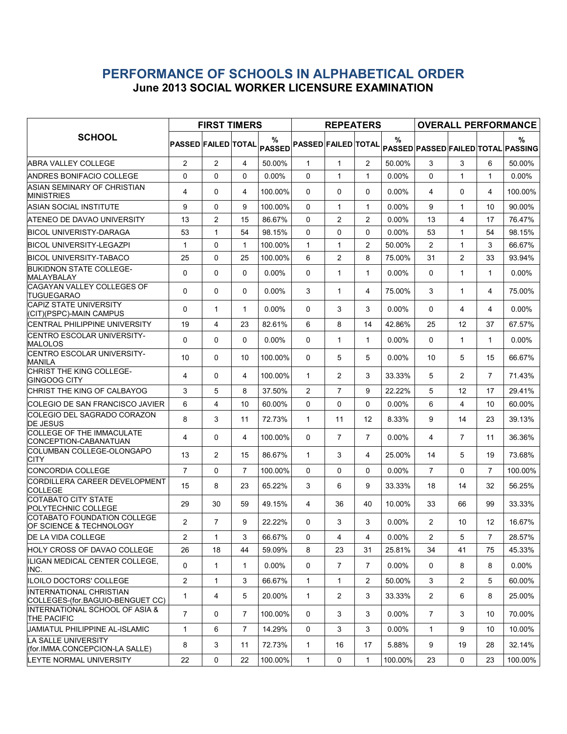## PERFORMANCE OF SCHOOLS IN ALPHABETICAL ORDER June 2013 SOCIAL WORKER LICENSURE EXAMINATION

|                                                                    | <b>FIRST TIMERS</b>        |                |                |                    |                            | <b>REPEATERS</b> |                       |          | <b>OVERALL PERFORMANCE</b> |                |                   |                                         |
|--------------------------------------------------------------------|----------------------------|----------------|----------------|--------------------|----------------------------|------------------|-----------------------|----------|----------------------------|----------------|-------------------|-----------------------------------------|
| <b>SCHOOL</b>                                                      | <b>PASSED FAILED TOTAL</b> |                |                | %<br><b>PASSED</b> | <b>PASSED FAILED TOTAL</b> |                  |                       | %        |                            |                |                   | %<br>PASSED PASSED FAILED TOTAL PASSING |
| <b>ABRA VALLEY COLLEGE</b>                                         | 2                          | 2              | 4              | 50.00%             | $\mathbf{1}$               | $\mathbf{1}$     | $\mathbf{2}^{\prime}$ | 50.00%   | 3                          | 3              | 6                 | 50.00%                                  |
| ANDRES BONIFACIO COLLEGE                                           | $\Omega$                   | 0              | $\Omega$       | 0.00%              | $\Omega$                   | $\mathbf{1}$     | $\mathbf{1}$          | $0.00\%$ | $\Omega$                   | 1              | $\mathbf{1}$      | $0.00\%$                                |
| ASIAN SEMINARY OF CHRISTIAN<br><b>MINISTRIES</b>                   | 4                          | $\Omega$       | 4              | 100.00%            | $\Omega$                   | $\Omega$         | $\Omega$              | 0.00%    | 4                          | $\Omega$       | 4                 | 100.00%                                 |
| ASIAN SOCIAL INSTITUTE                                             | 9                          | 0              | 9              | 100.00%            | 0                          | $\mathbf{1}$     | 1                     | $0.00\%$ | 9                          | 1              | 10                | 90.00%                                  |
| ATENEO DE DAVAO UNIVERSITY                                         | 13                         | $\overline{c}$ | 15             | 86.67%             | 0                          | $\overline{c}$   | $\overline{c}$        | 0.00%    | 13                         | 4              | 17                | 76.47%                                  |
| BICOL UNIVERISTY-DARAGA                                            | 53                         | $\mathbf{1}$   | 54             | 98.15%             | $\Omega$                   | $\mathbf{0}$     | 0                     | $0.00\%$ | 53                         | $\mathbf{1}$   | 54                | 98.15%                                  |
| <b>BICOL UNIVERSITY-LEGAZPI</b>                                    | 1                          | $\Omega$       | $\mathbf{1}$   | 100.00%            | $\mathbf{1}$               | $\mathbf{1}$     | $\overline{2}$        | 50.00%   | $\overline{2}$             | $\mathbf{1}$   | 3                 | 66.67%                                  |
| <b>BICOL UNIVERSITY-TABACO</b>                                     | 25                         | $\Omega$       | 25             | 100.00%            | 6                          | $\overline{2}$   | 8                     | 75.00%   | 31                         | 2              | 33                | 93.94%                                  |
| <b>BUKIDNON STATE COLLEGE-</b><br>MALAYBALAY                       | 0                          | 0              | $\Omega$       | $0.00\%$           | 0                          | $\mathbf{1}$     | 1                     | $0.00\%$ | 0                          | 1              | $\mathbf{1}$      | $0.00\%$                                |
| CAGAYAN VALLEY COLLEGES OF<br><b>TUGUEGARAO</b>                    | $\Omega$                   | $\Omega$       | $\Omega$       | $0.00\%$           | 3                          | $\mathbf{1}$     | 4                     | 75.00%   | 3                          | 1              | 4                 | 75.00%                                  |
| <b>CAPIZ STATE UNIVERSITY</b><br>(CIT)(PSPC)-MAIN CAMPUS           | 0                          | 1              | $\mathbf{1}$   | $0.00\%$           | $\Omega$                   | 3                | 3                     | $0.00\%$ | $\Omega$                   | 4              | 4                 | $0.00\%$                                |
| <b>CENTRAL PHILIPPINE UNIVERSITY</b>                               | 19                         | 4              | 23             | 82.61%             | 6                          | 8                | 14                    | 42.86%   | 25                         | 12             | 37                | 67.57%                                  |
| CENTRO ESCOLAR UNIVERSITY-<br><b>MALOLOS</b>                       | $\mathbf 0$                | 0              | $\Omega$       | $0.00\%$           | 0                          | $\mathbf{1}$     | 1                     | $0.00\%$ | $\Omega$                   | 1              | $\mathbf{1}$      | $0.00\%$                                |
| <b>CENTRO ESCOLAR UNIVERSITY-</b><br><b>MANILA</b>                 | 10                         | $\Omega$       | 10             | 100.00%            | 0                          | 5                | 5                     | 0.00%    | 10                         | 5              | 15                | 66.67%                                  |
| CHRIST THE KING COLLEGE-<br> GINGOOG CITY                          | 4                          | 0              | 4              | 100.00%            | $\mathbf{1}$               | $\overline{2}$   | 3                     | 33.33%   | 5                          | $\overline{c}$ | $\overline{7}$    | 71.43%                                  |
| CHRIST THE KING OF CALBAYOG                                        | 3                          | 5              | 8              | 37.50%             | $\overline{2}$             | $\overline{7}$   | 9                     | 22.22%   | 5                          | 12             | 17                | 29.41%                                  |
| COLEGIO DE SAN FRANCISCO JAVIER                                    | 6                          | 4              | 10             | 60.00%             | $\Omega$                   | $\Omega$         | $\Omega$              | $0.00\%$ | 6                          | 4              | 10                | 60.00%                                  |
| COLEGIO DEL SAGRADO CORAZON<br><b>DE JESUS</b>                     | 8                          | 3              | 11             | 72.73%             | $\mathbf{1}$               | 11               | 12                    | 8.33%    | 9                          | 14             | 23                | 39.13%                                  |
| <b>COLLEGE OF THE IMMACULATE</b><br>CONCEPTION-CABANATUAN          | 4                          | 0              | 4              | 100.00%            | $\Omega$                   | $\overline{7}$   | $\overline{7}$        | $0.00\%$ | 4                          | $\overline{7}$ | 11                | 36.36%                                  |
| COLUMBAN COLLEGE-OLONGAPO<br>CITY                                  | 13                         | 2              | 15             | 86.67%             | $\mathbf{1}$               | 3                | 4                     | 25.00%   | 14                         | 5              | 19                | 73.68%                                  |
| <b>CONCORDIA COLLEGE</b>                                           | $\overline{7}$             | $\Omega$       | $\overline{7}$ | 100.00%            | $\Omega$                   | $\Omega$         | 0                     | $0.00\%$ | $\overline{7}$             | $\Omega$       | $\overline{7}$    | 100.00%                                 |
| CORDILLERA CAREER DEVELOPMENT<br><b>COLLEGE</b>                    | 15                         | 8              | 23             | 65.22%             | 3                          | 6                | 9                     | 33.33%   | 18                         | 14             | 32                | 56.25%                                  |
| COTABATO CITY STATE<br>POLYTECHNIC COLLEGE                         | 29                         | 30             | 59             | 49.15%             | 4                          | 36               | 40                    | 10.00%   | 33                         | 66             | 99                | 33.33%                                  |
| COTABATO FOUNDATION COLLEGE<br>OF SCIENCE & TECHNOLOGY             | 2                          | 7              | 9              | 22.22%             | 0                          | 3                | 3                     | $0.00\%$ | $\overline{2}$             | 10             | $12 \overline{ }$ | 16.67%                                  |
| DE LA VIDA COLLEGE                                                 | 2                          | $\mathbf{1}$   | 3              | 66.67%             | 0                          | $\overline{4}$   | 4                     | 0.00%    | $\overline{2}$             | 5              | $\overline{7}$    | 28.57%                                  |
| HOLY CROSS OF DAVAO COLLEGE                                        | 26                         | 18             | 44             | 59.09%             | 8                          | 23               | 31                    | 25.81%   | 34                         | 41             | 75                | 45.33%                                  |
| ILIGAN MEDICAL CENTER COLLEGE.<br>INC.                             | 0                          | $\mathbf{1}$   | $\mathbf{1}$   | $0.00\%$           | 0                          | $\overline{7}$   | $\overline{7}$        | 0.00%    | $\mathbf 0$                | 8              | 8                 | 0.00%                                   |
| ILOILO DOCTORS' COLLEGE                                            | $\overline{2}$             | 1              | 3              | 66.67%             | $\mathbf{1}$               | $\mathbf{1}$     | 2                     | 50.00%   | 3                          | $\overline{2}$ | 5                 | 60.00%                                  |
| <b>INTERNATIONAL CHRISTIAN</b><br>COLLEGES-(for.BAGUIO-BENGUET CC) | 1                          | 4              | 5              | 20.00%             | $\mathbf{1}$               | $\overline{2}$   | 3                     | 33.33%   | $\mathbf{2}^{\prime}$      | 6              | 8                 | 25.00%                                  |
| INTERNATIONAL SCHOOL OF ASIA &<br><b>THE PACIFIC</b>               | $\overline{7}$             | $\Omega$       | $\mathbf{7}$   | 100.00%            | $\mathbf{0}$               | 3                | 3                     | $0.00\%$ | $\overline{7}$             | 3              | 10                | 70.00%                                  |
| JAMIATUL PHILIPPINE AL-ISLAMIC                                     | 1                          | 6              | 7              | 14.29%             | 0                          | 3                | 3                     | 0.00%    | $\mathbf{1}$               | 9              | 10                | 10.00%                                  |
| LA SALLE UNIVERSITY<br>(for.IMMA.CONCEPCION-LA SALLE)              | 8                          | 3              | 11             | 72.73%             | $\mathbf{1}$               | 16               | 17                    | 5.88%    | 9                          | 19             | 28                | 32.14%                                  |
| LEYTE NORMAL UNIVERSITY                                            | 22                         | 0              | 22             | 100.00%            | $\mathbf{1}$               | 0                | $\mathbf{1}$          | 100.00%  | 23                         | 0              | 23                | 100.00%                                 |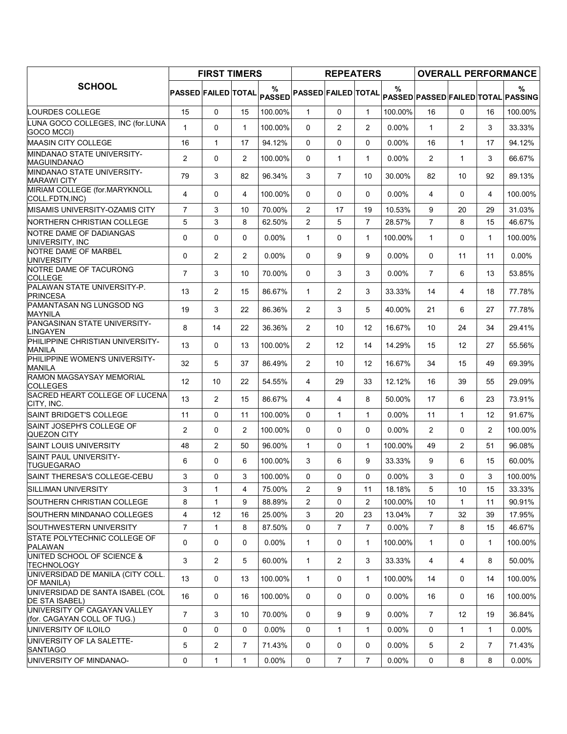|                                                             | <b>FIRST TIMERS</b>        |                |                |                    |                            | <b>REPEATERS</b> |                |          | <b>OVERALL PERFORMANCE</b> |                |                |                                         |
|-------------------------------------------------------------|----------------------------|----------------|----------------|--------------------|----------------------------|------------------|----------------|----------|----------------------------|----------------|----------------|-----------------------------------------|
| <b>SCHOOL</b>                                               | <b>PASSED FAILED TOTAL</b> |                |                | %<br><b>PASSED</b> | <b>PASSED FAILED TOTAL</b> |                  |                | $\%$     |                            |                |                | %<br>PASSED PASSED FAILED TOTAL PASSING |
| LOURDES COLLEGE                                             | 15                         | 0              | 15             | 100.00%            | $\mathbf{1}$               | $\Omega$         | $\mathbf{1}$   | 100.00%  | 16                         | $\Omega$       | 16             | 100.00%                                 |
| LUNA GOCO COLLEGES, INC (for.LUNA<br>GOCO MCCI)             | $\mathbf{1}$               | $\Omega$       | $\mathbf{1}$   | 100.00%            | $\mathbf{0}$               | $\overline{c}$   | $\overline{2}$ | 0.00%    | $\mathbf{1}$               | $\overline{2}$ | 3              | 33.33%                                  |
| MAASIN CITY COLLEGE                                         | 16                         | $\mathbf{1}$   | 17             | 94.12%             | $\mathbf{0}$               | $\Omega$         | $\mathbf{0}$   | 0.00%    | 16                         | $\mathbf{1}$   | 17             | 94.12%                                  |
| MINDANAO STATE UNIVERSITY-<br>MAGUINDANAO                   | 2                          | 0              | 2              | 100.00%            | $\Omega$                   | 1                | 1              | $0.00\%$ | $\overline{2}$             | $\mathbf{1}$   | 3              | 66.67%                                  |
| MINDANAO STATE UNIVERSITY-<br><b>MARAWI CITY</b>            | 79                         | 3              | 82             | 96.34%             | 3                          | $\overline{7}$   | 10             | 30.00%   | 82                         | 10             | 92             | 89.13%                                  |
| MIRIAM COLLEGE (for.MARYKNOLL<br>COLL FDTN, INC)            | 4                          | $\Omega$       | 4              | 100.00%            | $\mathbf{0}$               | $\Omega$         | $\mathbf{0}$   | 0.00%    | 4                          | $\Omega$       | 4              | 100.00%                                 |
| MISAMIS UNIVERSITY-OZAMIS CITY                              | $\overline{7}$             | 3              | 10             | 70.00%             | $\overline{c}$             | 17               | 19             | 10.53%   | 9                          | 20             | 29             | 31.03%                                  |
| NORTHERN CHRISTIAN COLLEGE                                  | 5                          | 3              | 8              | 62.50%             | $\overline{c}$             | 5                | $\overline{7}$ | 28.57%   | $\overline{7}$             | 8              | 15             | 46.67%                                  |
| NOTRE DAME OF DADIANGAS<br>UNIVERSITY, INC                  | 0                          | $\Omega$       | 0              | 0.00%              | $\mathbf{1}$               | 0                | $\mathbf{1}$   | 100.00%  | $\mathbf{1}$               | $\Omega$       | $\mathbf{1}$   | 100.00%                                 |
| NOTRE DAME OF MARBEL<br><b>UNIVERSITY</b>                   | 0                          | $\overline{c}$ | $\overline{c}$ | 0.00%              | $\mathbf 0$                | 9                | 9              | $0.00\%$ | 0                          | 11             | 11             | 0.00%                                   |
| NOTRE DAME OF TACURONG<br><b>COLLEGE</b>                    | $\overline{7}$             | 3              | 10             | 70.00%             | $\Omega$                   | 3                | 3              | $0.00\%$ | $\overline{7}$             | 6              | 13             | 53.85%                                  |
| PALAWAN STATE UNIVERSITY-P.<br><b>PRINCESA</b>              | 13                         | $\overline{c}$ | 15             | 86.67%             | $\mathbf{1}$               | $\overline{c}$   | 3              | 33.33%   | 14                         | 4              | 18             | 77.78%                                  |
| PAMANTASAN NG LUNGSOD NG<br><b>MAYNILA</b>                  | 19                         | 3              | 22             | 86.36%             | $\overline{2}$             | 3                | 5              | 40.00%   | 21                         | 6              | 27             | 77.78%                                  |
| PANGASINAN STATE UNIVERSITY-<br><b>LINGAYEN</b>             | 8                          | 14             | 22             | 36.36%             | $\overline{2}$             | 10               | 12             | 16.67%   | 10                         | 24             | 34             | 29.41%                                  |
| PHILIPPINE CHRISTIAN UNIVERSITY-<br><b>MANILA</b>           | 13                         | $\Omega$       | 13             | 100.00%            | $\overline{2}$             | 12               | 14             | 14.29%   | 15                         | 12             | 27             | 55.56%                                  |
| PHILIPPINE WOMEN'S UNIVERSITY-<br><b>MANILA</b>             | 32                         | 5              | 37             | 86.49%             | $\overline{2}$             | 10               | 12             | 16.67%   | 34                         | 15             | 49             | 69.39%                                  |
| <b>RAMON MAGSAYSAY MEMORIAL</b><br><b>COLLEGES</b>          | 12                         | 10             | 22             | 54.55%             | 4                          | 29               | 33             | 12.12%   | 16                         | 39             | 55             | 29.09%                                  |
| SACRED HEART COLLEGE OF LUCENA<br>CITY, INC.                | 13                         | $\overline{2}$ | 15             | 86.67%             | 4                          | 4                | 8              | 50.00%   | 17                         | 6              | 23             | 73.91%                                  |
| SAINT BRIDGET'S COLLEGE                                     | 11                         | $\Omega$       | 11             | 100.00%            | $\mathbf{0}$               | $\mathbf{1}$     | 1              | 0.00%    | 11                         | $\mathbf{1}$   | 12             | 91.67%                                  |
| SAINT JOSEPH'S COLLEGE OF<br><b>QUEZON CITY</b>             | 2                          | 0              | 2              | 100.00%            | $\Omega$                   | 0                | $\mathbf{0}$   | $0.00\%$ | $\overline{2}$             | 0              | $\overline{2}$ | 100.00%                                 |
| <b>SAINT LOUIS UNIVERSITY</b>                               | 48                         | $\overline{c}$ | 50             | 96.00%             | $\mathbf{1}$               | $\mathbf 0$      | $\mathbf{1}$   | 100.00%  | 49                         | $\overline{c}$ | 51             | 96.08%                                  |
| SAINT PAUL UNIVERSITY-<br><b>TUGUEGARAO</b>                 | 6                          | 0              | 6              | 100.00%            | 3                          | 6                | 9              | 33.33%   | 9                          | 6              | 15             | 60.00%                                  |
| SAINT THERESA'S COLLEGE-CEBU                                | 3                          | $\Omega$       | 3              | 100.00%            | $\Omega$                   | $\Omega$         | 0              | 0.00%    | 3                          | $\Omega$       | 3              | 100.00%                                 |
| <b>SILLIMAN UNIVERSITY</b>                                  | 3                          | $\mathbf{1}$   | 4              | 75.00%             | $\overline{c}$             | 9                | 11             | 18.18%   | 5                          | 10             | 15             | 33.33%                                  |
| <b>SOUTHERN CHRISTIAN COLLEGE</b>                           | 8                          | $\mathbf{1}$   | 9              | 88.89%             | 2                          | 0                | $\overline{2}$ | 100.00%  | 10                         | $\mathbf{1}$   | 11             | 90.91%                                  |
| SOUTHERN MINDANAO COLLEGES                                  | 4                          | 12             | 16             | 25.00%             | 3                          | 20               | 23             | 13.04%   | $\overline{7}$             | 32             | 39             | 17.95%                                  |
| SOUTHWESTERN UNIVERSITY                                     | $\overline{7}$             | $\mathbf{1}$   | 8              | 87.50%             | $\Omega$                   | $\overline{7}$   | $\overline{7}$ | 0.00%    | $\overline{7}$             | 8              | 15             | 46.67%                                  |
| STATE POLYTECHNIC COLLEGE OF<br><b>PALAWAN</b>              | 0                          | 0              | 0              | $0.00\%$           | $\mathbf{1}$               | 0                | $\mathbf{1}$   | 100.00%  | 1                          | 0              | 1              | 100.00%                                 |
| UNITED SCHOOL OF SCIENCE &<br><b>TECHNOLOGY</b>             | 3                          | $\overline{2}$ | 5              | 60.00%             | $\mathbf{1}$               | $\overline{2}$   | 3              | 33.33%   | 4                          | 4              | 8              | 50.00%                                  |
| UNIVERSIDAD DE MANILA (CITY COLL.<br>OF MANILA)             | 13                         | 0              | 13             | 100.00%            | $\mathbf{1}$               | 0                | 1              | 100.00%  | 14                         | 0              | 14             | 100.00%                                 |
| UNIVERSIDAD DE SANTA ISABEL (COL<br><b>DE STA ISABEL)</b>   | 16                         | 0              | 16             | 100.00%            | 0                          | 0                | $\mathbf{0}$   | $0.00\%$ | 16                         | 0              | 16             | 100.00%                                 |
| UNIVERSITY OF CAGAYAN VALLEY<br>(for. CAGAYAN COLL OF TUG.) | $\overline{7}$             | 3              | 10             | 70.00%             | 0                          | 9                | 9              | $0.00\%$ | $\overline{7}$             | 12             | 19             | 36.84%                                  |
| UNIVERSITY OF ILOILO                                        | 0                          | 0              | 0              | $0.00\%$           | 0                          | $\mathbf{1}$     | $\mathbf{1}$   | $0.00\%$ | 0                          | 1              | 1              | $0.00\%$                                |
| UNIVERSITY OF LA SALETTE-<br><b>SANTIAGO</b>                | 5                          | 2              | 7              | 71.43%             | 0                          | 0                | 0              | $0.00\%$ | 5                          | 2              | $\overline{7}$ | 71.43%                                  |
| UNIVERSITY OF MINDANAO-                                     | 0                          | 1              | 1              | 0.00%              | 0                          | $\overline{7}$   | $\overline{7}$ | $0.00\%$ | 0                          | 8              | 8              | $0.00\%$                                |